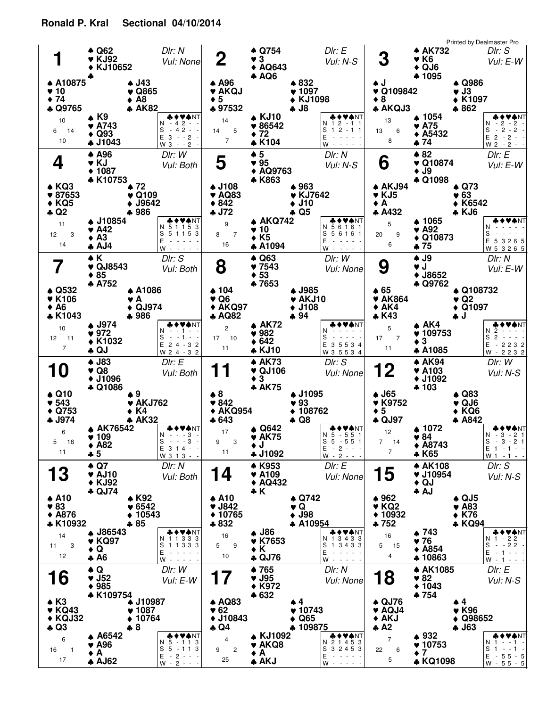## Printed by Dealmaster Pro **Q62** ♠ **KJ92 KJ10652 A10875** ♠ **10** ♥ **74** ♦ **Q9765** ♣ **J43** ♠ **Q865** ♥ **A8** ♦ **AK82** ♣ **K9** ♠ **A743 Q93 J1043** ♣ ♣ **1**  $\bullet$  Q62 *Dlr: N*<br> $\bullet$  KJ92 *Vul: N* DIr: N<br>Vul: None ♦ ♥ ♦ 10 10 6 14  $-42 3 - 2$  $-4\overline{2}$  -3 - - 2 - W ♣ ♥♦ ♠ NT N S E **Q754** ♠ **3 AQ643** ♦ **AQ6** ♣ **A96** ♠ **AKQJ** ♥ **5** ♦ **97532** ♣ **832** ♠ **1097** ♥ **KJ1098** ♦ **J8** ♣ **KJ10** ♠ **86542** ♥ **72** ♦ **K104** ♣ **2**  $\bullet$  **3 2**  $\bullet$  **3 2** *Vul: N* DIr: E<br>Vul: N-S 14 7 14 5 1 2 - 1 1 1 2 - 1 1 - - - - - - - - - - ♣ ♥♦ ♠ NT N S E W **AK732** ♠ **K6 QJ6** ♦ **1095** ♣ **J** ♠ **Q109842** ♥ **8** ♦ **AKQJ3** ♣ **Q986** ♠ **J3** ♥ **K1097** ♦ **862** ♣ **1054** ♠ **A75** ♥ **A5432** ♦ **74** ♣ **3** AK732 *Dlr: S*<br>**3** VGC *Vul: E* Dlr: S<br>Vul: E-W 13 8 13 6 - 2 - 2 - - 2 - 2 - 2 - 2 - - E 2 - 2 - - W ♣ ♥♦ ♠ NT N S **A96** ♠ **KJ 1087** ♦ **K10753** ♣ **KQ3** ♠ **87653** ♥ **KQ5** ♦ **Q2** ♣ **72** ♠ **Q109** ♥ **J9642** ♦ **986** ♣ **J10854** ♠ **A42** ♥ **A3** ♦ **AJ4** ♣ **4**  $\bullet$  A96 *DIr: W*<br> $\bullet$  KJ *Vul: B* Dlr: W<br>Vul: Both 11 14 12 3 5 1 1 5 3 5 1 1 5 3 - - - - - - - - - - ♣ ♥♦ ♠ NT N S E W **5** ♠ **95 AQ9763** ♦ **K863** ♣ **J108** ♠ **AQ83** ♥ **842** ♦ **J72** ♣ **963** ♠ **KJ7642** ♥ **J10** ♦ **Q5** ♣ **AKQ742** ♠ **10** ♥ **K5** ♦ **A1094** ♣  $5 + 5$  Dlr: N<br> $5 + 95$  Vul: N Dlr: N<br>Vul: N-S 9 16 8 7 N 5 6 1 6 1<br>S 5 6 1 6 1 - - - - - - - - - - ♣ ♥♦ ♠ NT E W **82** ♠ **G**  $\bullet$  82 *Dlr: E*<br>  $\bullet$  Q10874 *Vul: E-W* **J9** ♦ **Q1098** ♣ **AKJ94** ♠ **KJ5** ♥ **A** ♦ **A432** ♣ **Q73** ♠ **63** ♥ **K6542** ♦ **KJ6** ♣ **1065** ♠ **A92** ♥ **Q10873** ♦ **75** ♣ 5 6 20 9 - - - - - - - - - - 5 3 2 6 5 E 5 3 2 6 5 W ♣ ♥♦ ♠ NT N S **K** ♠  $\overline{7}$   $\bullet$  K<br>  $\bullet$  QJ8543 *Vul: Both* **85** ♦ **A752** ♣ **Q532** ♠ **K106** ♥ **A6** ♦ **K1043** ♣ **A1086** ♠ **A** ♥ **QJ974** ♦ **986** ♣ **J974** ♠ **972** ♥ **K1032** ♦ **QJ** ♣ 10 7 12 11  $- 1 -$ 2 4 - 3 2 E - - 1 - - 2 4 - 3 2 W ♣ ♥♦ ♠ NT N S **Q63** ♠ **7543 53** ♦ **7653** ♣ **104** ♠ **Q6** ♥ **AKQ97** ♦ **AQ82** ♣ **J985** ♠ **AKJ10** ♥ **J108** ♦ **94** ♣ **AK72** ♠ **982** ♥ **642** ♦ **KJ10** ♣ **8**  $\bullet$  Q63 Dlr: W<br> **8**  $\bullet$  7543 Vul: N DIr: W<br>Vul: None 2 11 17 10 - - - - - E 35534 - - - - - W 3 5 5 3 4 ♣ ♥♦ ♠ NT N S **J9** ♠ **J J8652** ♦ **Q9762** ♣ **65** ♠ **AK864** ♥ **AK4** ♦ **K43** ♣ **Q108732** ♠ **Q2** ♥ **Q1097** ♦ **J** ♣ **AK4** ♠ **109753** ♥ **3** ♦ **A1085** ♣  $\begin{array}{ccc} \bullet & \bullet & \bullet & \circ & \circ \\ \bullet & \bullet & \bullet & \circ & \circ \\ \bullet & \bullet & \bullet & \circ & \circ \end{array}$ DIr: N<br>Vul: E-W 5 11 17 7 2 - - - - N  $-2232$ 2 - - - - S - 2 2 3 2 ♣ ♥♦ ♠ NT E W **J83** ♠ **Q8 J1096** ♦ **Q1086** ♣ **Q10** ♠ **543** ♥ **Q753** ♦ **J974** ♣ **9** ♠ **AKJ762** ♥ **K4** ♦ **AK32** ♣ **AK76542** ♠ **109** ♥ **A82** ♦ **5** ♣ **10**  $\bullet$  J83 *Dlr: E*<br>**10**  $\bullet$  Q8 *Vul: E* Dlr: E<br>Vul: Both 6 11 5 18 - - - 3 - - - - 3 - 3 1 4 - - E 3 1 3 - - W ♣ ♥♦ ♠ NT N S **AK73** ♠ **QJ106 3** ♦ **AK75** ♣ **8** ♠ **842** ♥ **AKQ954** ♦ **643** ♣ **J1095** ♠ **93** ♥ **108762** ♦ **Q8** ♣ **Q642** ♠ **AK75** ♥ **J** ♦ **J1092** ♣ **11**  $\bullet$  AK73 *Dlr: S*<br>**11**  $\bullet$  QJ106 *Vul: N* DIr: S<br>Vul: None 17 11 9 3 N 5 - 5 5 1<br>S 5 - 5 5 1  $-2 - -$ - 2 - - - ♣ ♥♦ ♠ NT E W **AK94** ♠ **A103 J1092** ♦ **103** ♣ **J65** ♠ **K9752** ♥ **5** ♦ **QJ97** ♣ **Q83** ♠ **QJ6** ♥ **KQ6** ♦ **A842** ♣ **1072** ♠ **84** ♥ **A8743** ♦ **K65** ♣ **12**  $\bullet$  AK94 *DIr: W*<br>**12**  $\bullet$  A103 *Vul: N* DIr: W<br>Vul: N-S 12 7 7 14 - 3 - 2 1 - 3 - 2 1 1 - 1 - - E 1 - 1 - - W ♣ ♥♦ ♠ NT N S **Q7** ♠ **AJ10 KJ92** ♦ **QJ74** ♣ **A10** ♠ **83** ♥ **A876** ♦ **K10932** ♣ **K92** ♠ **6542** ♥ **10543** ♦ **85** ♣ **J86543** ♠ **KQ97** ♥ **Q** ♦ **A6** ♣ **13**  $\bullet$  Q7 Dir: N<br>**13**  $\bullet$  AJ10 Vul: B Vul: Both 14 12 11 3 1 1 3 3 3 - - - - - 1 1 3 3 3 - - - - - ♣ ♥♦ ♠ NT N S E W **K953** ♠ **A109 AQ432** ♦ **K** ♣ **A10** ♠ **J842** ♥ **10765** ♦ **832** ♣ **Q742** ♠ **Q** ♥ **J98** ♦ **A10954** ♣ **J86** ♠ **K7653** ♥ **K** ♦ **QJ76** ♣ **14**  $\bullet$  K953 *Dlr: E*<br>**14**  $\bullet$  A109 *Vul: N* Vul: None 16 10 5 9 1 3 4 3 3 N - - - - - 1 3 4 3 3 - - - - - ♣ ♥♦ ♠ NT S E W **AK108** ♠ **J10954** ♥ Vul: N-S **QJ** ♦ **AJ** ♣ **962** ♠ **KQ2** ♥ **10932** ♦ **752** ♣ **QJ5** ♠ **A83** ♥ **K76** ♦ **KQ94** ♣ **743** ♠ **76** ♥ **A854** ♦ **10863** ♣ **15**  $\bullet$  AK108 *DIr: S*<br> $\bullet$  J10954 *Vul: N-S* 16 4 5 15 N 1 - 2 2 -<br>S - -2 2 -- 1 - - - - 1 - - - ♣ ♥♦ ♠ NT E W **Q** ♠ **16**  $\bullet$  Q<br> $\bullet$  J<sub>52</sub> Dir: W<br>Vul: E DIr: W<br>Vul: E-W **765** ♠ **17**  $\bullet$  765 *Dir: N*<br>**17**  $\bullet$  J95 *Vul: N* DIr: N<br>Vul: None **18** ◆ AK1085 *Dlr: E*<br>
◆ 82<br>
Vul: N Dlr: E<br>Vul: N-S

**J95 K972** ♦ **632** ♣

**KJ1092** ♠ **AKQ8** ♥ **A** ♦ **AKJ** ♣

**4** ♠ **10743** ♥ **Q65** ♦ **109875** ♣

> 2 1 4 5 3 N - - - - - 3 2 4 5 3 S - - - - -

E W ♣ ♥♦ ♠ NT

**82 1043** ♦ **754** ♣

**932** ♠ **10753** ♥ **7** ♦ **KQ1098** ♣

**4** ♠ **K96** ♥ **Q98652** ♦ **J63** ♣

> N 1 - - 1 -<br>S 1 - - 1 - $-55 - 5$ - 5 5 - 5

E W

♣ ♥♦ ♠ NT

**QJ76** ♠ **AQJ4** ♥ **AKJ** ♦ **A2** ♣

7

 5 22 6

**AQ83** ♠ **62** ♥ **J10843** ♦ **Q4** ♣

4

25 9 2

## **Ronald P. Kral Sectional 04/10/2014**

**J52 985** ♦ **K109754** ♣

**A6542** ♠ **A96** ♥ **A** ♦ **AJ62** ♣

**J10987** ♠ **1087** ♥ **10764** ♦ **8** ♣

> N 5 - 1 1 3<br>S 5 - 1 1 3 - 2 - - -  $-2$

E W ♣ ♥♦ ♠ NT

**K3** ♠ **KQ43** ♥ **KQJ32** ♦ **Q3** ♣

6

17 16 1